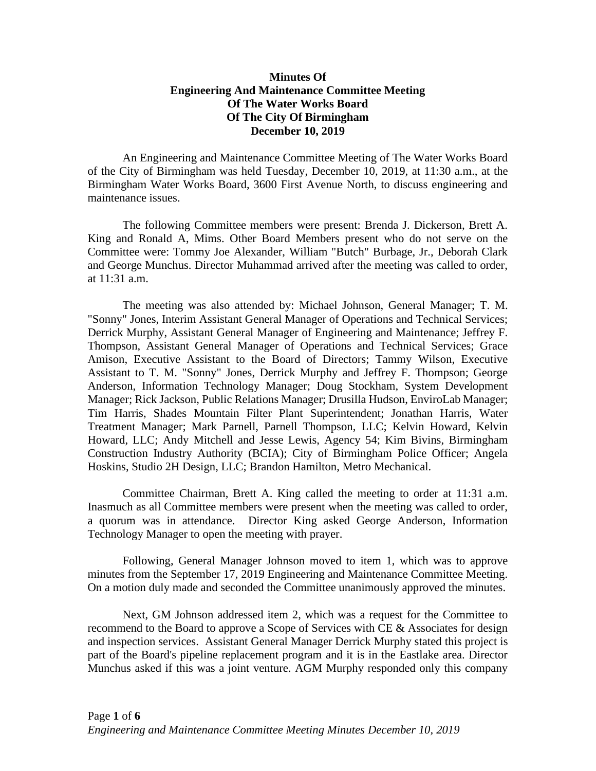## **Minutes Of Engineering And Maintenance Committee Meeting Of The Water Works Board Of The City Of Birmingham December 10, 2019**

An Engineering and Maintenance Committee Meeting of The Water Works Board of the City of Birmingham was held Tuesday, December 10, 2019, at 11:30 a.m., at the Birmingham Water Works Board, 3600 First Avenue North, to discuss engineering and maintenance issues.

The following Committee members were present: Brenda J. Dickerson, Brett A. King and Ronald A, Mims. Other Board Members present who do not serve on the Committee were: Tommy Joe Alexander, William "Butch" Burbage, Jr., Deborah Clark and George Munchus. Director Muhammad arrived after the meeting was called to order, at 11:31 a.m.

The meeting was also attended by: Michael Johnson, General Manager; T. M. "Sonny" Jones, Interim Assistant General Manager of Operations and Technical Services; Derrick Murphy, Assistant General Manager of Engineering and Maintenance; Jeffrey F. Thompson, Assistant General Manager of Operations and Technical Services; Grace Amison, Executive Assistant to the Board of Directors; Tammy Wilson, Executive Assistant to T. M. "Sonny" Jones, Derrick Murphy and Jeffrey F. Thompson; George Anderson, Information Technology Manager; Doug Stockham, System Development Manager; Rick Jackson, Public Relations Manager; Drusilla Hudson, EnviroLab Manager; Tim Harris, Shades Mountain Filter Plant Superintendent; Jonathan Harris, Water Treatment Manager; Mark Parnell, Parnell Thompson, LLC; Kelvin Howard, Kelvin Howard, LLC; Andy Mitchell and Jesse Lewis, Agency 54; Kim Bivins, Birmingham Construction Industry Authority (BCIA); City of Birmingham Police Officer; Angela Hoskins, Studio 2H Design, LLC; Brandon Hamilton, Metro Mechanical.

Committee Chairman, Brett A. King called the meeting to order at 11:31 a.m. Inasmuch as all Committee members were present when the meeting was called to order, a quorum was in attendance. Director King asked George Anderson, Information Technology Manager to open the meeting with prayer.

Following, General Manager Johnson moved to item 1, which was to approve minutes from the September 17, 2019 Engineering and Maintenance Committee Meeting. On a motion duly made and seconded the Committee unanimously approved the minutes.

Next, GM Johnson addressed item 2, which was a request for the Committee to recommend to the Board to approve a Scope of Services with CE & Associates for design and inspection services. Assistant General Manager Derrick Murphy stated this project is part of the Board's pipeline replacement program and it is in the Eastlake area. Director Munchus asked if this was a joint venture. AGM Murphy responded only this company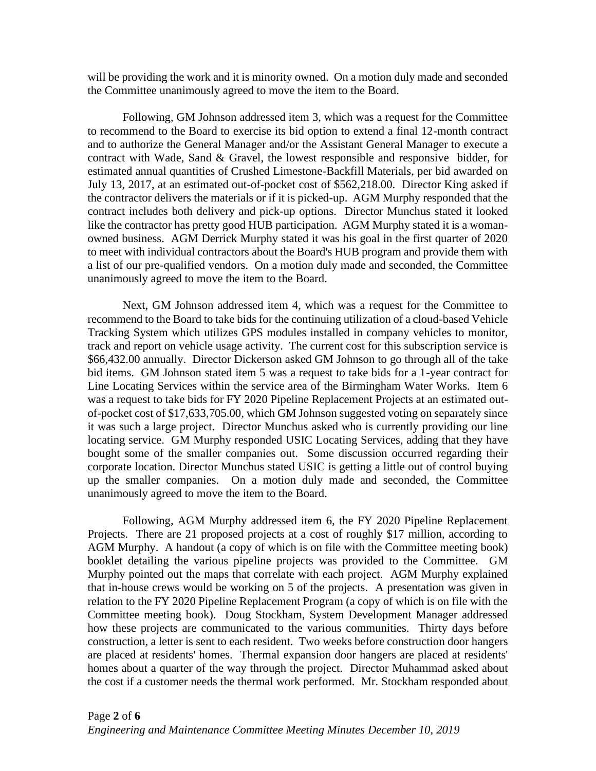will be providing the work and it is minority owned. On a motion duly made and seconded the Committee unanimously agreed to move the item to the Board.

Following, GM Johnson addressed item 3, which was a request for the Committee to recommend to the Board to exercise its bid option to extend a final 12-month contract and to authorize the General Manager and/or the Assistant General Manager to execute a contract with Wade, Sand & Gravel, the lowest responsible and responsive bidder, for estimated annual quantities of Crushed Limestone-Backfill Materials, per bid awarded on July 13, 2017, at an estimated out-of-pocket cost of \$562,218.00. Director King asked if the contractor delivers the materials or if it is picked-up. AGM Murphy responded that the contract includes both delivery and pick-up options. Director Munchus stated it looked like the contractor has pretty good HUB participation. AGM Murphy stated it is a womanowned business. AGM Derrick Murphy stated it was his goal in the first quarter of 2020 to meet with individual contractors about the Board's HUB program and provide them with a list of our pre-qualified vendors. On a motion duly made and seconded, the Committee unanimously agreed to move the item to the Board.

Next, GM Johnson addressed item 4, which was a request for the Committee to recommend to the Board to take bids for the continuing utilization of a cloud-based Vehicle Tracking System which utilizes GPS modules installed in company vehicles to monitor, track and report on vehicle usage activity. The current cost for this subscription service is \$66,432.00 annually. Director Dickerson asked GM Johnson to go through all of the take bid items. GM Johnson stated item 5 was a request to take bids for a 1-year contract for Line Locating Services within the service area of the Birmingham Water Works. Item 6 was a request to take bids for FY 2020 Pipeline Replacement Projects at an estimated outof-pocket cost of \$17,633,705.00, which GM Johnson suggested voting on separately since it was such a large project. Director Munchus asked who is currently providing our line locating service. GM Murphy responded USIC Locating Services, adding that they have bought some of the smaller companies out. Some discussion occurred regarding their corporate location. Director Munchus stated USIC is getting a little out of control buying up the smaller companies. On a motion duly made and seconded, the Committee unanimously agreed to move the item to the Board.

Following, AGM Murphy addressed item 6, the FY 2020 Pipeline Replacement Projects. There are 21 proposed projects at a cost of roughly \$17 million, according to AGM Murphy. A handout (a copy of which is on file with the Committee meeting book) booklet detailing the various pipeline projects was provided to the Committee. GM Murphy pointed out the maps that correlate with each project. AGM Murphy explained that in-house crews would be working on 5 of the projects. A presentation was given in relation to the FY 2020 Pipeline Replacement Program (a copy of which is on file with the Committee meeting book). Doug Stockham, System Development Manager addressed how these projects are communicated to the various communities. Thirty days before construction, a letter is sent to each resident. Two weeks before construction door hangers are placed at residents' homes. Thermal expansion door hangers are placed at residents' homes about a quarter of the way through the project. Director Muhammad asked about the cost if a customer needs the thermal work performed. Mr. Stockham responded about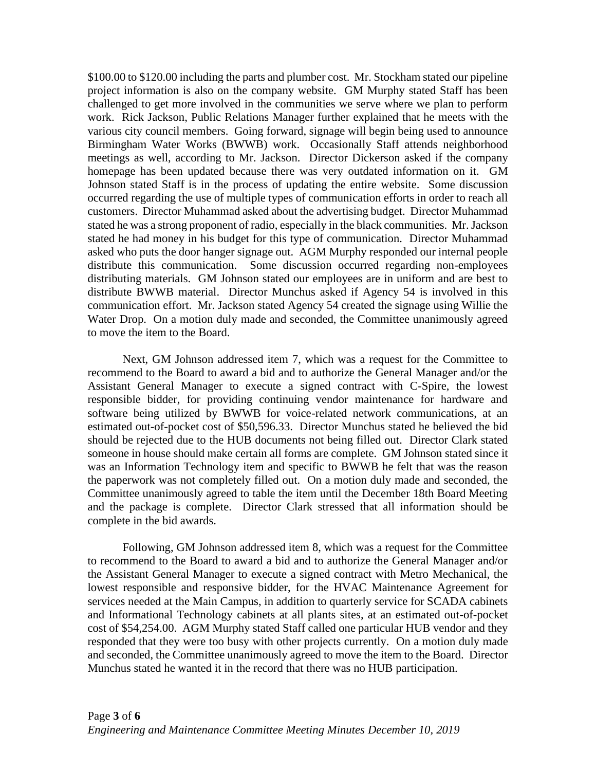\$100.00 to \$120.00 including the parts and plumber cost. Mr. Stockham stated our pipeline project information is also on the company website. GM Murphy stated Staff has been challenged to get more involved in the communities we serve where we plan to perform work. Rick Jackson, Public Relations Manager further explained that he meets with the various city council members. Going forward, signage will begin being used to announce Birmingham Water Works (BWWB) work. Occasionally Staff attends neighborhood meetings as well, according to Mr. Jackson. Director Dickerson asked if the company homepage has been updated because there was very outdated information on it. GM Johnson stated Staff is in the process of updating the entire website. Some discussion occurred regarding the use of multiple types of communication efforts in order to reach all customers. Director Muhammad asked about the advertising budget. Director Muhammad stated he was a strong proponent of radio, especially in the black communities. Mr. Jackson stated he had money in his budget for this type of communication. Director Muhammad asked who puts the door hanger signage out. AGM Murphy responded our internal people distribute this communication. Some discussion occurred regarding non-employees distributing materials. GM Johnson stated our employees are in uniform and are best to distribute BWWB material. Director Munchus asked if Agency 54 is involved in this communication effort. Mr. Jackson stated Agency 54 created the signage using Willie the Water Drop. On a motion duly made and seconded, the Committee unanimously agreed to move the item to the Board.

Next, GM Johnson addressed item 7, which was a request for the Committee to recommend to the Board to award a bid and to authorize the General Manager and/or the Assistant General Manager to execute a signed contract with C-Spire, the lowest responsible bidder, for providing continuing vendor maintenance for hardware and software being utilized by BWWB for voice-related network communications, at an estimated out-of-pocket cost of \$50,596.33. Director Munchus stated he believed the bid should be rejected due to the HUB documents not being filled out. Director Clark stated someone in house should make certain all forms are complete. GM Johnson stated since it was an Information Technology item and specific to BWWB he felt that was the reason the paperwork was not completely filled out. On a motion duly made and seconded, the Committee unanimously agreed to table the item until the December 18th Board Meeting and the package is complete. Director Clark stressed that all information should be complete in the bid awards.

Following, GM Johnson addressed item 8, which was a request for the Committee to recommend to the Board to award a bid and to authorize the General Manager and/or the Assistant General Manager to execute a signed contract with Metro Mechanical, the lowest responsible and responsive bidder, for the HVAC Maintenance Agreement for services needed at the Main Campus, in addition to quarterly service for SCADA cabinets and Informational Technology cabinets at all plants sites, at an estimated out-of-pocket cost of \$54,254.00. AGM Murphy stated Staff called one particular HUB vendor and they responded that they were too busy with other projects currently. On a motion duly made and seconded, the Committee unanimously agreed to move the item to the Board. Director Munchus stated he wanted it in the record that there was no HUB participation.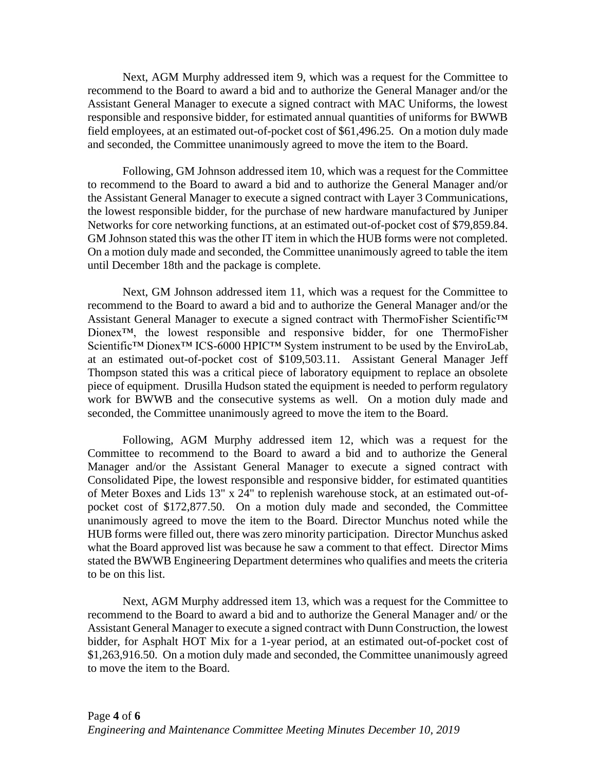Next, AGM Murphy addressed item 9, which was a request for the Committee to recommend to the Board to award a bid and to authorize the General Manager and/or the Assistant General Manager to execute a signed contract with MAC Uniforms, the lowest responsible and responsive bidder, for estimated annual quantities of uniforms for BWWB field employees, at an estimated out-of-pocket cost of \$61,496.25. On a motion duly made and seconded, the Committee unanimously agreed to move the item to the Board.

Following, GM Johnson addressed item 10, which was a request for the Committee to recommend to the Board to award a bid and to authorize the General Manager and/or the Assistant General Manager to execute a signed contract with Layer 3 Communications, the lowest responsible bidder, for the purchase of new hardware manufactured by Juniper Networks for core networking functions, at an estimated out-of-pocket cost of \$79,859.84. GM Johnson stated this was the other IT item in which the HUB forms were not completed. On a motion duly made and seconded, the Committee unanimously agreed to table the item until December 18th and the package is complete.

Next, GM Johnson addressed item 11, which was a request for the Committee to recommend to the Board to award a bid and to authorize the General Manager and/or the Assistant General Manager to execute a signed contract with ThermoFisher Scientific™ Dionex™, the lowest responsible and responsive bidder, for one ThermoFisher Scientific™ Dionex™ ICS-6000 HPIC™ System instrument to be used by the EnviroLab, at an estimated out-of-pocket cost of \$109,503.11. Assistant General Manager Jeff Thompson stated this was a critical piece of laboratory equipment to replace an obsolete piece of equipment. Drusilla Hudson stated the equipment is needed to perform regulatory work for BWWB and the consecutive systems as well. On a motion duly made and seconded, the Committee unanimously agreed to move the item to the Board.

Following, AGM Murphy addressed item 12, which was a request for the Committee to recommend to the Board to award a bid and to authorize the General Manager and/or the Assistant General Manager to execute a signed contract with Consolidated Pipe, the lowest responsible and responsive bidder, for estimated quantities of Meter Boxes and Lids 13" x 24" to replenish warehouse stock, at an estimated out-ofpocket cost of \$172,877.50. On a motion duly made and seconded, the Committee unanimously agreed to move the item to the Board. Director Munchus noted while the HUB forms were filled out, there was zero minority participation. Director Munchus asked what the Board approved list was because he saw a comment to that effect. Director Mims stated the BWWB Engineering Department determines who qualifies and meets the criteria to be on this list.

Next, AGM Murphy addressed item 13, which was a request for the Committee to recommend to the Board to award a bid and to authorize the General Manager and/ or the Assistant General Manager to execute a signed contract with Dunn Construction, the lowest bidder, for Asphalt HOT Mix for a 1-year period, at an estimated out-of-pocket cost of \$1,263,916.50. On a motion duly made and seconded, the Committee unanimously agreed to move the item to the Board.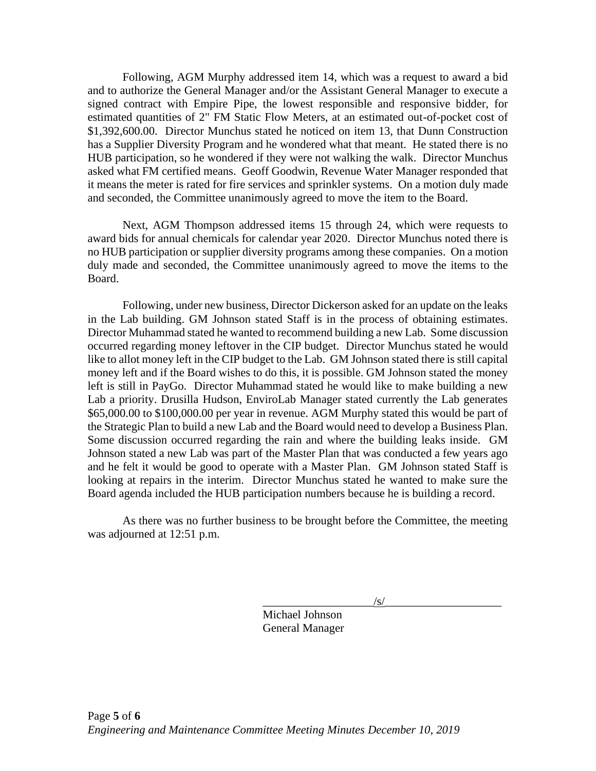Following, AGM Murphy addressed item 14, which was a request to award a bid and to authorize the General Manager and/or the Assistant General Manager to execute a signed contract with Empire Pipe, the lowest responsible and responsive bidder, for estimated quantities of 2" FM Static Flow Meters, at an estimated out-of-pocket cost of \$1,392,600.00. Director Munchus stated he noticed on item 13, that Dunn Construction has a Supplier Diversity Program and he wondered what that meant. He stated there is no HUB participation, so he wondered if they were not walking the walk. Director Munchus asked what FM certified means. Geoff Goodwin, Revenue Water Manager responded that it means the meter is rated for fire services and sprinkler systems. On a motion duly made and seconded, the Committee unanimously agreed to move the item to the Board.

Next, AGM Thompson addressed items 15 through 24, which were requests to award bids for annual chemicals for calendar year 2020. Director Munchus noted there is no HUB participation or supplier diversity programs among these companies. On a motion duly made and seconded, the Committee unanimously agreed to move the items to the Board.

Following, under new business, Director Dickerson asked for an update on the leaks in the Lab building. GM Johnson stated Staff is in the process of obtaining estimates. Director Muhammad stated he wanted to recommend building a new Lab. Some discussion occurred regarding money leftover in the CIP budget. Director Munchus stated he would like to allot money left in the CIP budget to the Lab. GM Johnson stated there is still capital money left and if the Board wishes to do this, it is possible. GM Johnson stated the money left is still in PayGo. Director Muhammad stated he would like to make building a new Lab a priority. Drusilla Hudson, EnviroLab Manager stated currently the Lab generates \$65,000.00 to \$100,000.00 per year in revenue. AGM Murphy stated this would be part of the Strategic Plan to build a new Lab and the Board would need to develop a Business Plan. Some discussion occurred regarding the rain and where the building leaks inside. GM Johnson stated a new Lab was part of the Master Plan that was conducted a few years ago and he felt it would be good to operate with a Master Plan. GM Johnson stated Staff is looking at repairs in the interim. Director Munchus stated he wanted to make sure the Board agenda included the HUB participation numbers because he is building a record.

As there was no further business to be brought before the Committee, the meeting was adjourned at 12:51 p.m.

 $\sqrt{s/}$ 

Michael Johnson General Manager